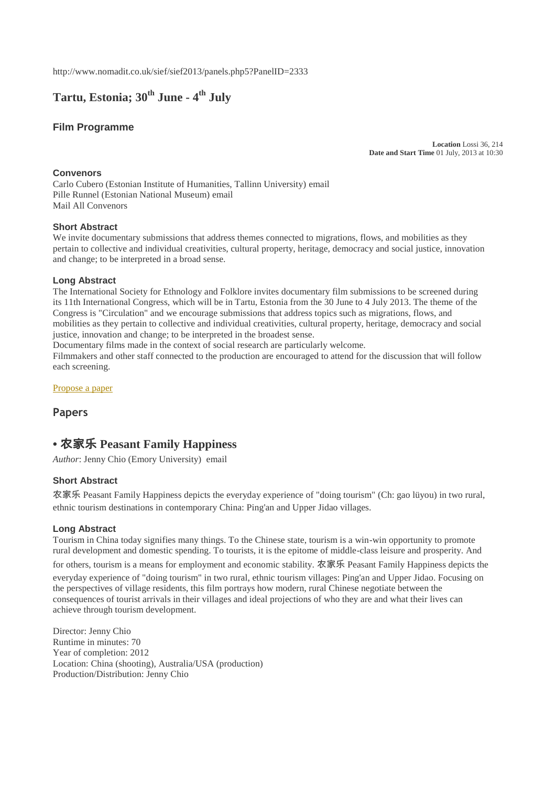http://www.nomadit.co.uk/sief/sief2013/panels.php5?PanelID=2333

# **Tartu, Estonia; 30th June - 4 th July**

### **Film Programme**

**Location** Lossi 36, 214 **Date and Start Time** 01 July, 2013 at 10:30

#### **Convenors**

Carlo Cubero (Estonian Institute of Humanities, Tallinn University) email Pille Runnel (Estonian National Museum) email Mail All Convenors

#### **Short Abstract**

We invite documentary submissions that address themes connected to migrations, flows, and mobilities as they pertain to collective and individual creativities, cultural property, heritage, democracy and social justice, innovation and change; to be interpreted in a broad sense.

#### **Long Abstract**

The International Society for Ethnology and Folklore invites documentary film submissions to be screened during its 11th International Congress, which will be in Tartu, Estonia from the 30 June to 4 July 2013. The theme of the Congress is "Circulation" and we encourage submissions that address topics such as migrations, flows, and mobilities as they pertain to collective and individual creativities, cultural property, heritage, democracy and social justice, innovation and change; to be interpreted in the broadest sense.

Documentary films made in the context of social research are particularly welcome.

Filmmakers and other staff connected to the production are encouraged to attend for the discussion that will follow each screening.

[Propose a paper](http://www.nomadit.co.uk/sief/sief2013/paperproposal.php5?PanelID=2333)

**Papers**

## **•** 农家乐 **Peasant Family Happiness**

*Author*: Jenny Chio (Emory University) email

#### **Short Abstract**

农家乐 Peasant Family Happiness depicts the everyday experience of "doing tourism" (Ch: gao lüyou) in two rural, ethnic tourism destinations in contemporary China: Ping'an and Upper Jidao villages.

#### **Long Abstract**

Tourism in China today signifies many things. To the Chinese state, tourism is a win-win opportunity to promote rural development and domestic spending. To tourists, it is the epitome of middle-class leisure and prosperity. And

for others, tourism is a means for employment and economic stability. 农家乐 Peasant Family Happiness depicts the everyday experience of "doing tourism" in two rural, ethnic tourism villages: Ping'an and Upper Jidao. Focusing on the perspectives of village residents, this film portrays how modern, rural Chinese negotiate between the consequences of tourist arrivals in their villages and ideal projections of who they are and what their lives can achieve through tourism development.

Director: Jenny Chio Runtime in minutes: 70 Year of completion: 2012 Location: China (shooting), Australia/USA (production) Production/Distribution: Jenny Chio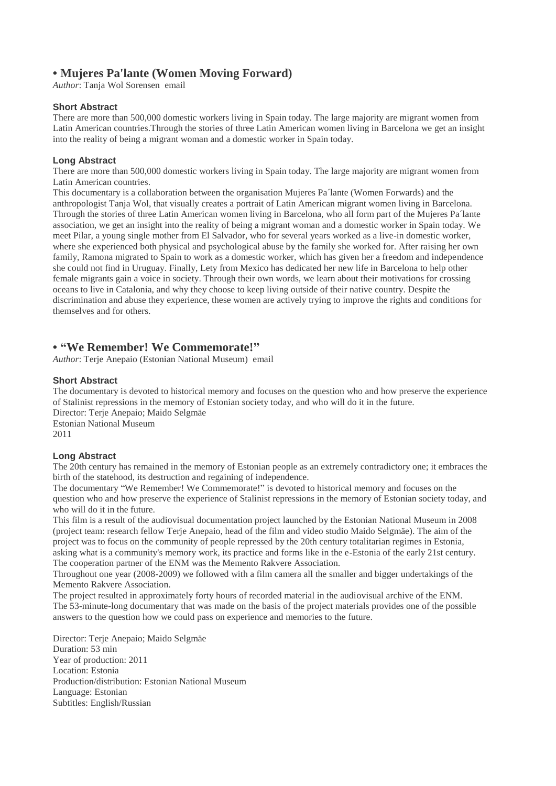## **• Mujeres Pa'lante (Women Moving Forward)**

*Author*: Tanja Wol Sorensen email

#### **Short Abstract**

There are more than 500,000 domestic workers living in Spain today. The large majority are migrant women from Latin American countries.Through the stories of three Latin American women living in Barcelona we get an insight into the reality of being a migrant woman and a domestic worker in Spain today.

#### **Long Abstract**

There are more than 500,000 domestic workers living in Spain today. The large majority are migrant women from Latin American countries.

This documentary is a collaboration between the organisation Mujeres Pa´lante (Women Forwards) and the anthropologist Tanja Wol, that visually creates a portrait of Latin American migrant women living in Barcelona. Through the stories of three Latin American women living in Barcelona, who all form part of the Mujeres Pa´lante association, we get an insight into the reality of being a migrant woman and a domestic worker in Spain today. We meet Pilar, a young single mother from El Salvador, who for several years worked as a live-in domestic worker, where she experienced both physical and psychological abuse by the family she worked for. After raising her own family, Ramona migrated to Spain to work as a domestic worker, which has given her a freedom and independence she could not find in Uruguay. Finally, Lety from Mexico has dedicated her new life in Barcelona to help other female migrants gain a voice in society. Through their own words, we learn about their motivations for crossing oceans to live in Catalonia, and why they choose to keep living outside of their native country. Despite the discrimination and abuse they experience, these women are actively trying to improve the rights and conditions for themselves and for others.

## **• "We Remember! We Commemorate!"**

*Author*: Terje Anepaio (Estonian National Museum) email

#### **Short Abstract**

The documentary is devoted to historical memory and focuses on the question who and how preserve the experience of Stalinist repressions in the memory of Estonian society today, and who will do it in the future. Director: Terje Anepaio; Maido Selgmäe Estonian National Museum 2011

#### **Long Abstract**

The 20th century has remained in the memory of Estonian people as an extremely contradictory one; it embraces the birth of the statehood, its destruction and regaining of independence.

The documentary "We Remember! We Commemorate!" is devoted to historical memory and focuses on the question who and how preserve the experience of Stalinist repressions in the memory of Estonian society today, and who will do it in the future.

This film is a result of the audiovisual documentation project launched by the Estonian National Museum in 2008 (project team: research fellow Terje Anepaio, head of the film and video studio Maido Selgmäe). The aim of the project was to focus on the community of people repressed by the 20th century totalitarian regimes in Estonia, asking what is a community's memory work, its practice and forms like in the e-Estonia of the early 21st century. The cooperation partner of the ENM was the Memento Rakvere Association.

Throughout one year (2008-2009) we followed with a film camera all the smaller and bigger undertakings of the Memento Rakvere Association.

The project resulted in approximately forty hours of recorded material in the audiovisual archive of the ENM. The 53-minute-long documentary that was made on the basis of the project materials provides one of the possible answers to the question how we could pass on experience and memories to the future.

Director: Terje Anepaio; Maido Selgmäe Duration: 53 min Year of production: 2011 Location: Estonia Production/distribution: Estonian National Museum Language: Estonian Subtitles: English/Russian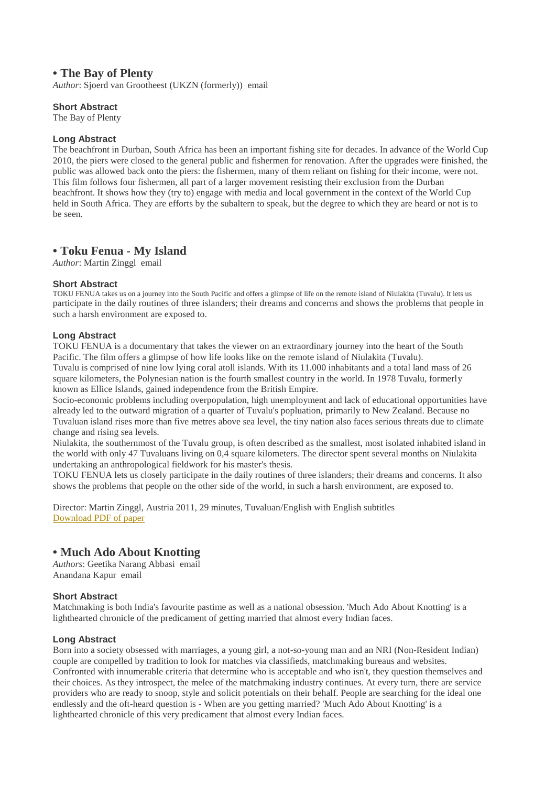## **• The Bay of Plenty**

*Author*: Sjoerd van Grootheest (UKZN (formerly)) email

#### **Short Abstract**

The Bay of Plenty

#### **Long Abstract**

The beachfront in Durban, South Africa has been an important fishing site for decades. In advance of the World Cup 2010, the piers were closed to the general public and fishermen for renovation. After the upgrades were finished, the public was allowed back onto the piers: the fishermen, many of them reliant on fishing for their income, were not. This film follows four fishermen, all part of a larger movement resisting their exclusion from the Durban beachfront. It shows how they (try to) engage with media and local government in the context of the World Cup held in South Africa. They are efforts by the subaltern to speak, but the degree to which they are heard or not is to be seen.

### **• Toku Fenua - My Island**

*Author*: Martin Zinggl email

#### **Short Abstract**

TOKU FENUA takes us on a journey into the South Pacific and offers a glimpse of life on the remote island of Niulakita (Tuvalu). It lets us participate in the daily routines of three islanders; their dreams and concerns and shows the problems that people in such a harsh environment are exposed to.

#### **Long Abstract**

TOKU FENUA is a documentary that takes the viewer on an extraordinary journey into the heart of the South Pacific. The film offers a glimpse of how life looks like on the remote island of Niulakita (Tuvalu). Tuvalu is comprised of nine low lying coral atoll islands. With its 11.000 inhabitants and a total land mass of 26 square kilometers, the Polynesian nation is the fourth smallest country in the world. In 1978 Tuvalu, formerly known as Ellice Islands, gained independence from the British Empire.

Socio-economic problems including overpopulation, high unemployment and lack of educational opportunities have already led to the outward migration of a quarter of Tuvalu's popluation, primarily to New Zealand. Because no Tuvaluan island rises more than five metres above sea level, the tiny nation also faces serious threats due to climate change and rising sea levels.

Niulakita, the southernmost of the Tuvalu group, is often described as the smallest, most isolated inhabited island in the world with only 47 Tuvaluans living on 0,4 square kilometers. The director spent several months on Niulakita undertaking an anthropological fieldwork for his master's thesis.

TOKU FENUA lets us closely participate in the daily routines of three islanders; their dreams and concerns. It also shows the problems that people on the other side of the world, in such a harsh environment, are exposed to.

Director: Martin Zinggl, Austria 2011, 29 minutes, Tuvaluan/English with English subtitles [Download PDF of paper](http://www.mecon.nomadit.co.uk/pub/conference_epaper_download.php5?PaperID=14834&MIMEType=application/pdf)

## **• Much Ado About Knotting**

*Authors*: Geetika Narang Abbasi email Anandana Kapur email

#### **Short Abstract**

Matchmaking is both India's favourite pastime as well as a national obsession. 'Much Ado About Knotting' is a lighthearted chronicle of the predicament of getting married that almost every Indian faces.

#### **Long Abstract**

Born into a society obsessed with marriages, a young girl, a not-so-young man and an NRI (Non-Resident Indian) couple are compelled by tradition to look for matches via classifieds, matchmaking bureaus and websites. Confronted with innumerable criteria that determine who is acceptable and who isn't, they question themselves and their choices. As they introspect, the melee of the matchmaking industry continues. At every turn, there are service providers who are ready to snoop, style and solicit potentials on their behalf. People are searching for the ideal one endlessly and the oft-heard question is - When are you getting married? 'Much Ado About Knotting' is a lighthearted chronicle of this very predicament that almost every Indian faces.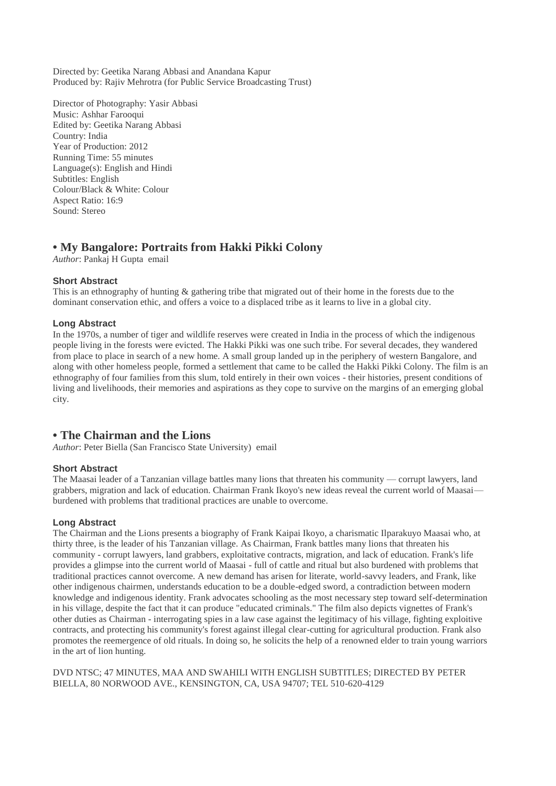Directed by: Geetika Narang Abbasi and Anandana Kapur Produced by: Rajiv Mehrotra (for Public Service Broadcasting Trust)

Director of Photography: Yasir Abbasi Music: Ashhar Farooqui Edited by: Geetika Narang Abbasi Country: India Year of Production: 2012 Running Time: 55 minutes Language(s): English and Hindi Subtitles: English Colour/Black & White: Colour Aspect Ratio: 16:9 Sound: Stereo

## **• My Bangalore: Portraits from Hakki Pikki Colony**

*Author*: Pankaj H Gupta email

#### **Short Abstract**

This is an ethnography of hunting & gathering tribe that migrated out of their home in the forests due to the dominant conservation ethic, and offers a voice to a displaced tribe as it learns to live in a global city.

#### **Long Abstract**

In the 1970s, a number of tiger and wildlife reserves were created in India in the process of which the indigenous people living in the forests were evicted. The Hakki Pikki was one such tribe. For several decades, they wandered from place to place in search of a new home. A small group landed up in the periphery of western Bangalore, and along with other homeless people, formed a settlement that came to be called the Hakki Pikki Colony. The film is an ethnography of four families from this slum, told entirely in their own voices - their histories, present conditions of living and livelihoods, their memories and aspirations as they cope to survive on the margins of an emerging global city.

## **• The Chairman and the Lions**

*Author*: Peter Biella (San Francisco State University) email

#### **Short Abstract**

The Maasai leader of a Tanzanian village battles many lions that threaten his community — corrupt lawyers, land grabbers, migration and lack of education. Chairman Frank Ikoyo's new ideas reveal the current world of Maasai burdened with problems that traditional practices are unable to overcome.

#### **Long Abstract**

The Chairman and the Lions presents a biography of Frank Kaipai Ikoyo, a charismatic Ilparakuyo Maasai who, at thirty three, is the leader of his Tanzanian village. As Chairman, Frank battles many lions that threaten his community - corrupt lawyers, land grabbers, exploitative contracts, migration, and lack of education. Frank's life provides a glimpse into the current world of Maasai - full of cattle and ritual but also burdened with problems that traditional practices cannot overcome. A new demand has arisen for literate, world-savvy leaders, and Frank, like other indigenous chairmen, understands education to be a double-edged sword, a contradiction between modern knowledge and indigenous identity. Frank advocates schooling as the most necessary step toward self-determination in his village, despite the fact that it can produce "educated criminals." The film also depicts vignettes of Frank's other duties as Chairman - interrogating spies in a law case against the legitimacy of his village, fighting exploitive contracts, and protecting his community's forest against illegal clear-cutting for agricultural production. Frank also promotes the reemergence of old rituals. In doing so, he solicits the help of a renowned elder to train young warriors in the art of lion hunting.

DVD NTSC; 47 MINUTES, MAA AND SWAHILI WITH ENGLISH SUBTITLES; DIRECTED BY PETER BIELLA, 80 NORWOOD AVE., KENSINGTON, CA, USA 94707; TEL 510-620-4129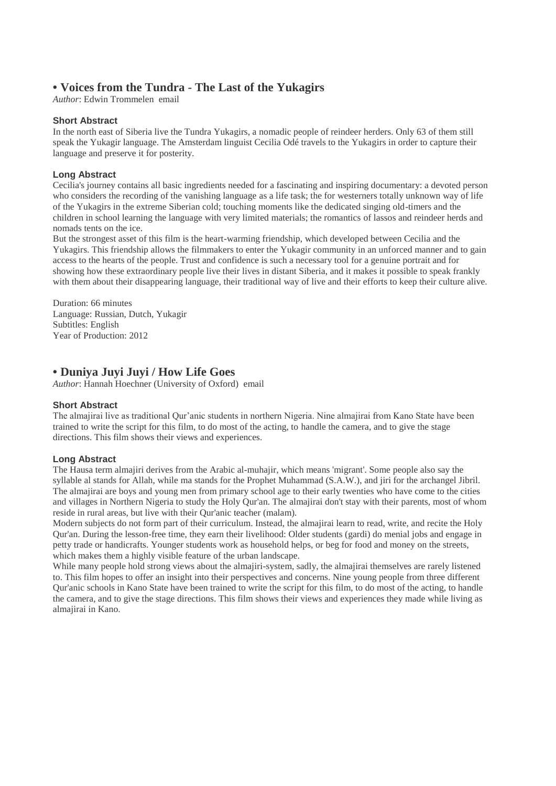## **• Voices from the Tundra - The Last of the Yukagirs**

*Author*: Edwin Trommelen email

#### **Short Abstract**

In the north east of Siberia live the Tundra Yukagirs, a nomadic people of reindeer herders. Only 63 of them still speak the Yukagir language. The Amsterdam linguist Cecilia Odé travels to the Yukagirs in order to capture their language and preserve it for posterity.

#### **Long Abstract**

Cecilia's journey contains all basic ingredients needed for a fascinating and inspiring documentary: a devoted person who considers the recording of the vanishing language as a life task; the for westerners totally unknown way of life of the Yukagirs in the extreme Siberian cold; touching moments like the dedicated singing old-timers and the children in school learning the language with very limited materials; the romantics of lassos and reindeer herds and nomads tents on the ice.

But the strongest asset of this film is the heart-warming friendship, which developed between Cecilia and the Yukagirs. This friendship allows the filmmakers to enter the Yukagir community in an unforced manner and to gain access to the hearts of the people. Trust and confidence is such a necessary tool for a genuine portrait and for showing how these extraordinary people live their lives in distant Siberia, and it makes it possible to speak frankly with them about their disappearing language, their traditional way of live and their efforts to keep their culture alive.

Duration: 66 minutes Language: Russian, Dutch, Yukagir Subtitles: English Year of Production: 2012

### **• Duniya Juyi Juyi / How Life Goes**

*Author*: Hannah Hoechner (University of Oxford) email

#### **Short Abstract**

The almajirai live as traditional Qur'anic students in northern Nigeria. Nine almajirai from Kano State have been trained to write the script for this film, to do most of the acting, to handle the camera, and to give the stage directions. This film shows their views and experiences.

#### **Long Abstract**

The Hausa term almajiri derives from the Arabic al-muhajir, which means 'migrant'. Some people also say the syllable al stands for Allah, while ma stands for the Prophet Muhammad (S.A.W.), and jiri for the archangel Jibril. The almajirai are boys and young men from primary school age to their early twenties who have come to the cities and villages in Northern Nigeria to study the Holy Qur'an. The almajirai don't stay with their parents, most of whom reside in rural areas, but live with their Qur'anic teacher (malam).

Modern subjects do not form part of their curriculum. Instead, the almajirai learn to read, write, and recite the Holy Qur'an. During the lesson-free time, they earn their livelihood: Older students (gardi) do menial jobs and engage in petty trade or handicrafts. Younger students work as household helps, or beg for food and money on the streets, which makes them a highly visible feature of the urban landscape.

While many people hold strong views about the almajiri-system, sadly, the almajirai themselves are rarely listened to. This film hopes to offer an insight into their perspectives and concerns. Nine young people from three different Qur'anic schools in Kano State have been trained to write the script for this film, to do most of the acting, to handle the camera, and to give the stage directions. This film shows their views and experiences they made while living as almajirai in Kano.